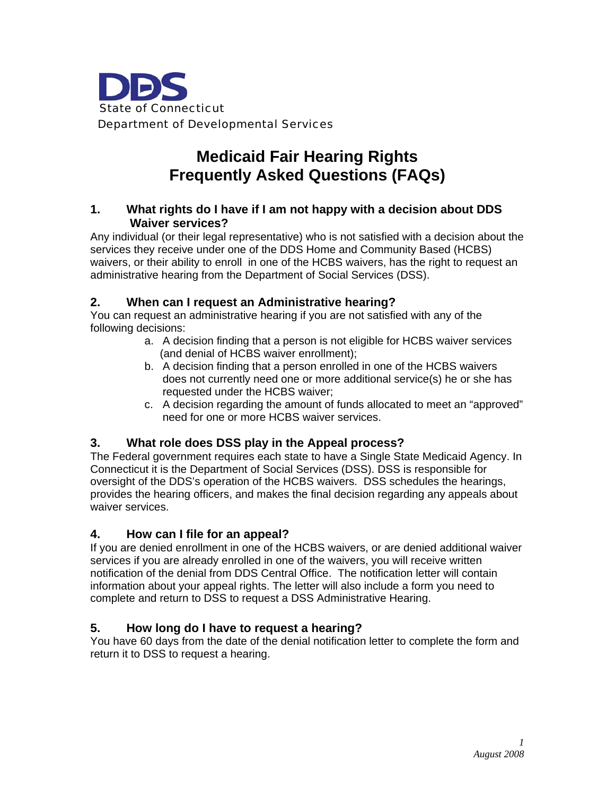

# **Medicaid Fair Hearing Rights Frequently Asked Questions (FAQs)**

#### **1. What rights do I have if I am not happy with a decision about DDS Waiver services?**

Any individual (or their legal representative) who is not satisfied with a decision about the services they receive under one of the DDS Home and Community Based (HCBS) waivers, or their ability to enroll in one of the HCBS waivers, has the right to request an administrative hearing from the Department of Social Services (DSS).

### **2. When can I request an Administrative hearing?**

You can request an administrative hearing if you are not satisfied with any of the following decisions:

- a. A decision finding that a person is not eligible for HCBS waiver services (and denial of HCBS waiver enrollment);
- b. A decision finding that a person enrolled in one of the HCBS waivers does not currently need one or more additional service(s) he or she has requested under the HCBS waiver;
- c. A decision regarding the amount of funds allocated to meet an "approved" need for one or more HCBS waiver services.

## **3. What role does DSS play in the Appeal process?**

The Federal government requires each state to have a Single State Medicaid Agency. In Connecticut it is the Department of Social Services (DSS). DSS is responsible for oversight of the DDS's operation of the HCBS waivers. DSS schedules the hearings, provides the hearing officers, and makes the final decision regarding any appeals about waiver services.

#### **4. How can I file for an appeal?**

If you are denied enrollment in one of the HCBS waivers, or are denied additional waiver services if you are already enrolled in one of the waivers, you will receive written notification of the denial from DDS Central Office. The notification letter will contain information about your appeal rights. The letter will also include a form you need to complete and return to DSS to request a DSS Administrative Hearing.

## **5. How long do I have to request a hearing?**

You have 60 days from the date of the denial notification letter to complete the form and return it to DSS to request a hearing.